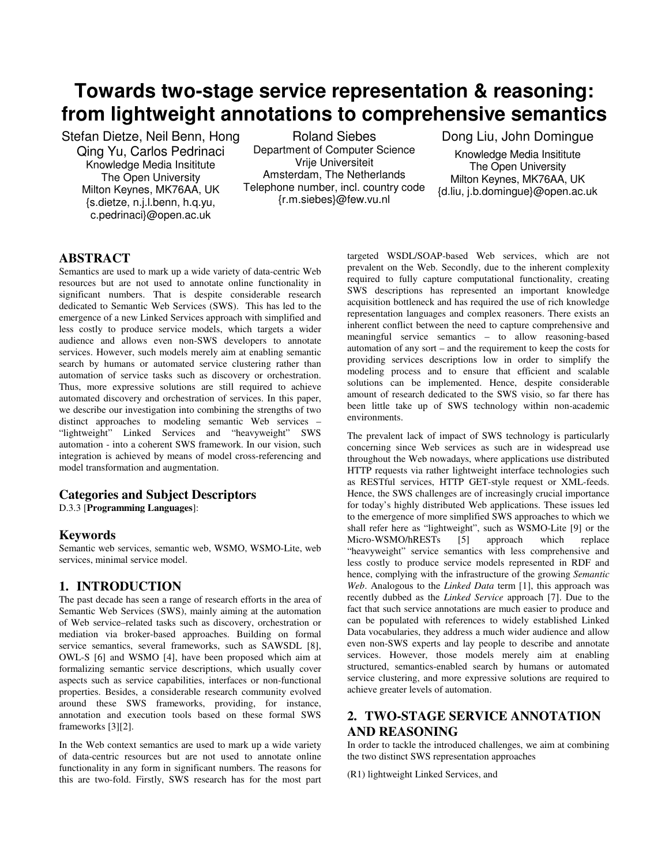# **Towards two-stage service representation & reasoning: from lightweight annotations to comprehensive semantics**

Stefan Dietze, Neil Benn, Hong Qing Yu, Carlos Pedrinaci Knowledge Media Insititute The Open University Milton Keynes, MK76AA, UK {s.dietze, n.j.l.benn, h.q.yu, c.pedrinaci}@open.ac.uk

Roland Siebes Department of Computer Science Vrije Universiteit Amsterdam, The Netherlands Telephone number, incl. country code {r.m.siebes}@few.vu.nl

Dong Liu, John Domingue

Knowledge Media Insititute The Open University Milton Keynes, MK76AA, UK {d.liu, j.b.domingue}@open.ac.uk

## **ABSTRACT**

Semantics are used to mark up a wide variety of data-centric Web resources but are not used to annotate online functionality in significant numbers. That is despite considerable research dedicated to Semantic Web Services (SWS). This has led to the emergence of a new Linked Services approach with simplified and less costly to produce service models, which targets a wider audience and allows even non-SWS developers to annotate services. However, such models merely aim at enabling semantic search by humans or automated service clustering rather than automation of service tasks such as discovery or orchestration. Thus, more expressive solutions are still required to achieve automated discovery and orchestration of services. In this paper, we describe our investigation into combining the strengths of two distinct approaches to modeling semantic Web services – "lightweight" Linked Services and "heavyweight" SWS automation - into a coherent SWS framework. In our vision, such integration is achieved by means of model cross-referencing and model transformation and augmentation.

### **Categories and Subject Descriptors**

D.3.3 [**Programming Languages**]:

### **Keywords**

Semantic web services, semantic web, WSMO, WSMO-Lite, web services, minimal service model.

## **1. INTRODUCTION**

The past decade has seen a range of research efforts in the area of Semantic Web Services (SWS), mainly aiming at the automation of Web service–related tasks such as discovery, orchestration or mediation via broker-based approaches. Building on formal service semantics, several frameworks, such as SAWSDL [8], OWL-S [6] and WSMO [4], have been proposed which aim at formalizing semantic service descriptions, which usually cover aspects such as service capabilities, interfaces or non-functional properties. Besides, a considerable research community evolved around these SWS frameworks, providing, for instance, annotation and execution tools based on these formal SWS frameworks [3][2].

In the Web context semantics are used to mark up a wide variety of data-centric resources but are not used to annotate online functionality in any form in significant numbers. The reasons for this are two-fold. Firstly, SWS research has for the most part

targeted WSDL/SOAP-based Web services, which are not prevalent on the Web. Secondly, due to the inherent complexity required to fully capture computational functionality, creating SWS descriptions has represented an important knowledge acquisition bottleneck and has required the use of rich knowledge representation languages and complex reasoners. There exists an inherent conflict between the need to capture comprehensive and meaningful service semantics – to allow reasoning-based automation of any sort – and the requirement to keep the costs for providing services descriptions low in order to simplify the modeling process and to ensure that efficient and scalable solutions can be implemented. Hence, despite considerable amount of research dedicated to the SWS visio, so far there has been little take up of SWS technology within non-academic environments.

The prevalent lack of impact of SWS technology is particularly concerning since Web services as such are in widespread use throughout the Web nowadays, where applications use distributed HTTP requests via rather lightweight interface technologies such as RESTful services, HTTP GET-style request or XML-feeds. Hence, the SWS challenges are of increasingly crucial importance for today's highly distributed Web applications. These issues led to the emergence of more simplified SWS approaches to which we shall refer here as "lightweight", such as WSMO-Lite [9] or the Micro-WSMO/hRESTs [5] approach which replace "heavyweight" service semantics with less comprehensive and less costly to produce service models represented in RDF and hence, complying with the infrastructure of the growing *Semantic Web*. Analogous to the *Linked Data* term [1], this approach was recently dubbed as the *Linked Service* approach [7]. Due to the fact that such service annotations are much easier to produce and can be populated with references to widely established Linked Data vocabularies, they address a much wider audience and allow even non-SWS experts and lay people to describe and annotate services. However, those models merely aim at enabling structured, semantics-enabled search by humans or automated service clustering, and more expressive solutions are required to achieve greater levels of automation.

# **2. TWO-STAGE SERVICE ANNOTATION AND REASONING**

In order to tackle the introduced challenges, we aim at combining the two distinct SWS representation approaches

(R1) lightweight Linked Services, and